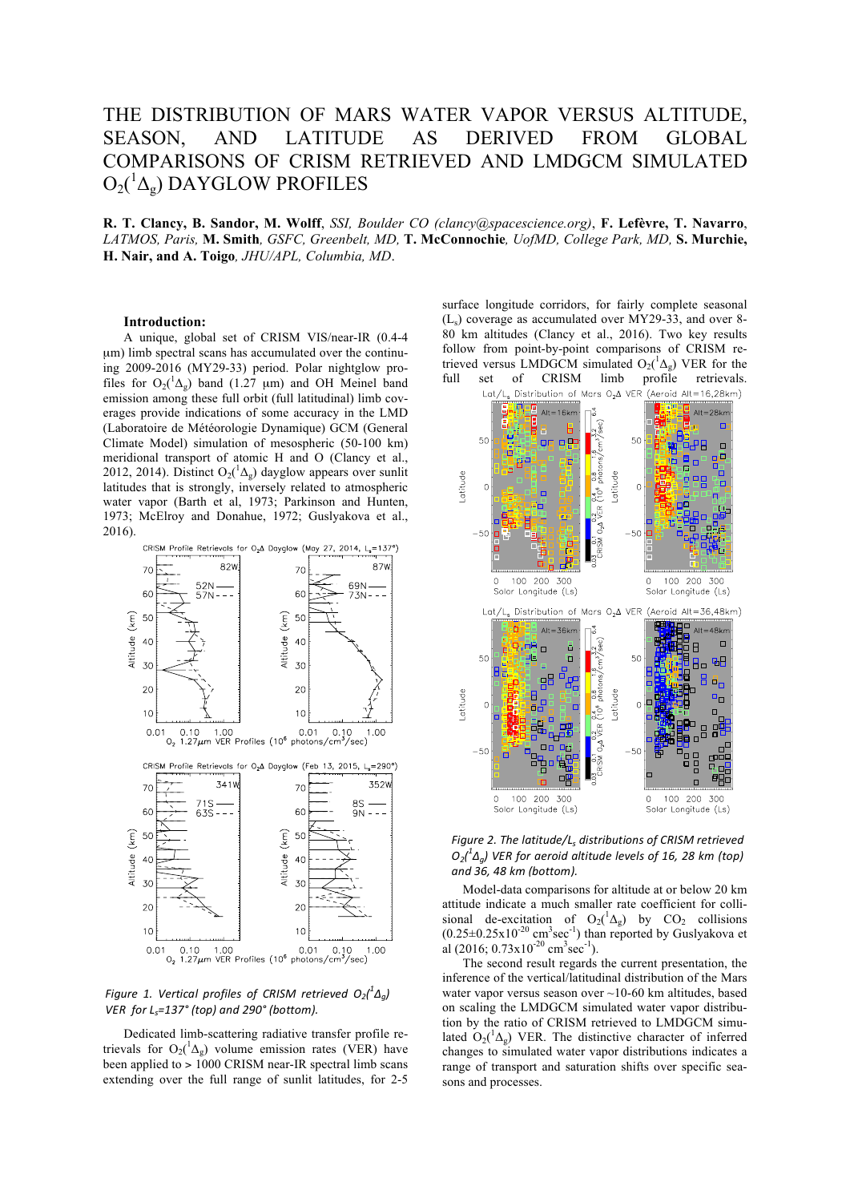# THE DISTRIBUTION OF MARS WATER VAPOR VERSUS ALTITUDE, SEASON, AND LATITUDE AS DERIVED FROM GLOBAL COMPARISONS OF CRISM RETRIEVED AND LMDGCM SIMULATED  $\mathrm{O_2(^1\Delta_g)}$  DAYGLOW PROFILES

**R. T. Clancy, B. Sandor, M. Wolff**, *SSI, Boulder CO (clancy@spacescience.org)*, **F. Lefèvre, T. Navarro**, *LATMOS, Paris,* **M. Smith***, GSFC, Greenbelt, MD,* **T. McConnochie***, UofMD, College Park, MD,* **S. Murchie, H. Nair, and A. Toigo***, JHU/APL, Columbia, MD*.

### **Introduction:**

A unique, global set of CRISM VIS/near-IR (0.4-4 µm) limb spectral scans has accumulated over the continuing 2009-2016 (MY29-33) period. Polar nightglow profiles for  $O_2(^1\Delta_g)$  band (1.27 µm) and OH Meinel band emission among these full orbit (full latitudinal) limb coverages provide indications of some accuracy in the LMD (Laboratoire de Météorologie Dynamique) GCM (General Climate Model) simulation of mesospheric (50-100 km) meridional transport of atomic H and O (Clancy et al., 2012, 2014). Distinct O<sub>2</sub>( $^1\Delta_g$ ) dayglow appears over sunlit latitudes that is strongly, inversely related to atmospheric water vapor (Barth et al, 1973; Parkinson and Hunten, 1973; McElroy and Donahue, 1972; Guslyakova et al., 2016).



### *Figure 1. Vertical profiles of CRISM retrieved*  $O_2(^1\Delta_g)$ *VER* for L<sub>s</sub>=137° (top) and 290° (bottom).

Dedicated limb-scattering radiative transfer profile retrievals for  $O_2(^1\Delta_g)$  volume emission rates (VER) have been applied to > 1000 CRISM near-IR spectral limb scans extending over the full range of sunlit latitudes, for 2-5

surface longitude corridors, for fairly complete seasonal  $(L<sub>s</sub>)$  coverage as accumulated over MY29-33, and over 8-80 km altitudes (Clancy et al., 2016). Two key results follow from point-by-point comparisons of CRISM retrieved versus LMDGCM simulated  $O_2(^1\Delta_g)$  VER for the full set of CRISM limb profile retrievals.



*Figure 2. The latitude/L<sub>s</sub> distributions of CRISM retrieved*  $O_2(^1\Delta_g)$  VER for aeroid altitude levels of 16, 28 km (top) *and 36, 48 km (bottom).*

Model-data comparisons for altitude at or below 20 km attitude indicate a much smaller rate coefficient for collisional de-excitation of  $O_2(^1\Delta_g)$  by  $CO_2$  collisions  $(0.25\pm0.25\times10^{-20} \text{ cm}^3 \text{sec}^{-1})$  than reported by Guslyakova et al (2016;  $0.73 \times 10^{-20}$  cm<sup>3</sup>sec<sup>-1</sup>).

The second result regards the current presentation, the inference of the vertical/latitudinal distribution of the Mars water vapor versus season over ~10-60 km altitudes, based on scaling the LMDGCM simulated water vapor distribution by the ratio of CRISM retrieved to LMDGCM simulated  $O_2(^1\Delta_g)$  VER. The distinctive character of inferred changes to simulated water vapor distributions indicates a range of transport and saturation shifts over specific seasons and processes.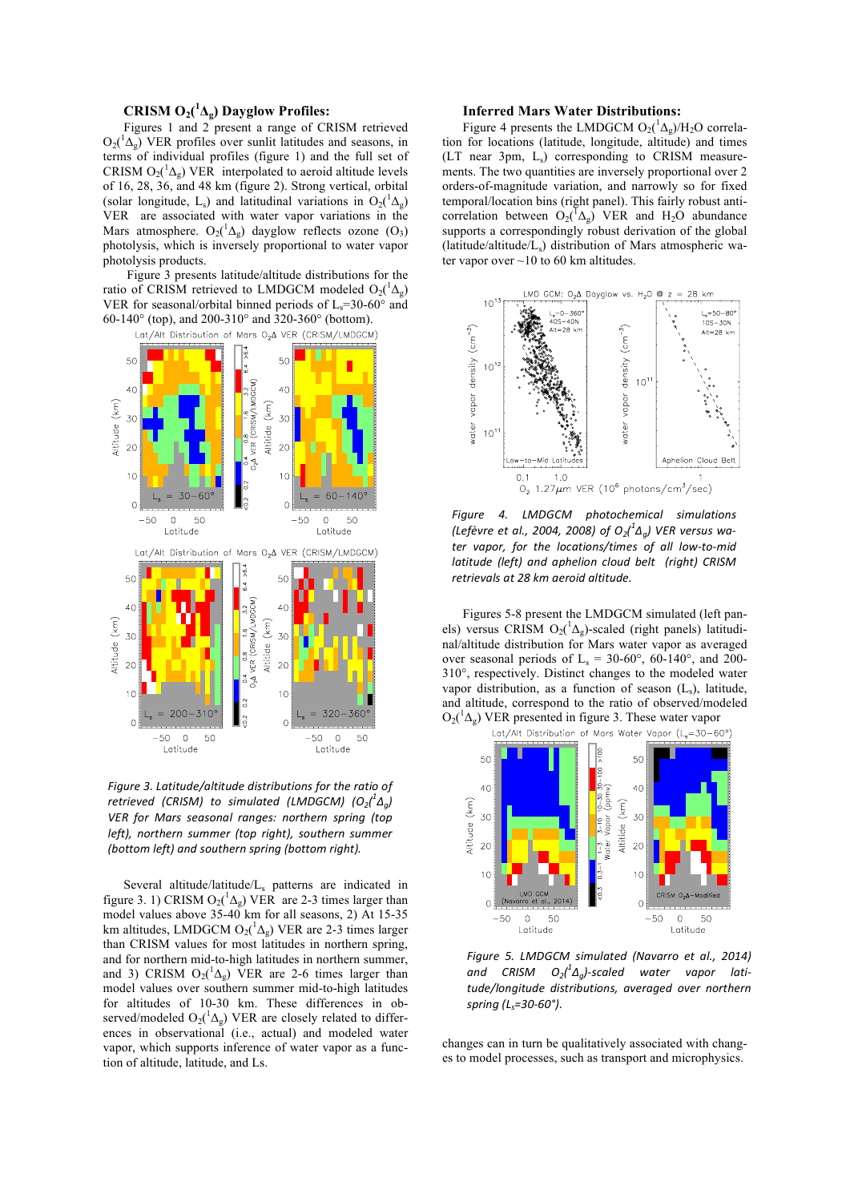## **CRISM**  $O_2(^1\Lambda_g)$  Dayglow Profiles:

Figures 1 and 2 present a range of CRISM retrieved  $O_2(^1\Delta_g)$  VER profiles over sunlit latitudes and seasons, in terms of individual profiles (figure 1) and the full set of CRISM  $O_2(^1\Delta_g)$  VER interpolated to aeroid altitude levels of 16, 28, 36, and 48 km (figure 2). Strong vertical, orbital (solar longitude, L<sub>s</sub>) and latitudinal variations in  $O_2(^1\Delta_g)$ VER are associated with water vapor variations in the Mars atmosphere.  $O_2(^1\Delta_g)$  dayglow reflects ozone  $(O_3)$ photolysis, which is inversely proportional to water vapor photolysis products.

Figure 3 presents latitude/altitude distributions for the ratio of CRISM retrieved to LMDGCM modeled  $O_2(^1\Delta_g)$ VER for seasonal/orbital binned periods of  $L_s=30-60^\circ$  and 60-140° (top), and 200-310° and 320-360° (bottom).



*Figure* 3. Latitude/altitude distributions for the ratio of *retrieved (CRISM)* to simulated (LMDGCM)  $(O_2(^1\Delta_g))$ **VER** for Mars seasonal ranges: northern spring (top *left), northern summer (top right), southern summer (bottom left) and southern spring (bottom right).*

Several altitude/latitude/Ls patterns are indicated in figure 3. 1) CRISM  $O_2(^1\Delta_g)$  VER are 2-3 times larger than model values above 35-40 km for all seasons, 2) At 15-35 km altitudes, LMDGCM  $O_2(^1\Delta_g)$  VER are 2-3 times larger than CRISM values for most latitudes in northern spring, and for northern mid-to-high latitudes in northern summer, and 3) CRISM  $O_2(^1\Delta_g)$  VER are 2-6 times larger than model values over southern summer mid-to-high latitudes for altitudes of 10-30 km. These differences in observed/modeled  $O_2(^1\Delta_g)$  VER are closely related to differences in observational (i.e., actual) and modeled water vapor, which supports inference of water vapor as a function of altitude, latitude, and Ls.

### **Inferred Mars Water Distributions:**

Figure 4 presents the LMDGCM  $O_2(^1\Delta_g)/H_2O$  correlation for locations (latitude, longitude, altitude) and times  $(LT$  near 3pm,  $L<sub>s</sub>$ ) corresponding to CRISM measurements. The two quantities are inversely proportional over 2 orders-of-magnitude variation, and narrowly so for fixed temporal/location bins (right panel). This fairly robust anticorrelation between  $O_2(\sqrt{A_g})$  VER and H<sub>2</sub>O abundance supports a correspondingly robust derivation of the global (latitude/altitude/Ls) distribution of Mars atmospheric water vapor over  $\sim$  10 to 60 km altitudes.



*Figure 4. LMDGCM photochemical simulations*   $($ Lefèvre et al., 2004, 2008) of  $O_2(^1\Delta_g)$  VER versus water vapor, for the locations/times of all low-to-mid *latitude* (left) and aphelion cloud belt (right) CRISM *retrievals at 28 km aeroid altitude.*

Figures 5-8 present the LMDGCM simulated (left panels) versus CRISM O<sub>2</sub>( $^1\Delta_g$ )-scaled (right panels) latitudinal/altitude distribution for Mars water vapor as averaged over seasonal periods of  $L_s = 30{\text -}60^{\circ}$ , 60-140°, and 200-310°, respectively. Distinct changes to the modeled water vapor distribution, as a function of season  $(L_s)$ , latitude, and altitude, correspond to the ratio of observed/modeled  $O_2(^1\Delta_g)$  VER presented in figure 3. These water vapor



Figure 5. LMDGCM simulated (Navarro et al., 2014) and CRISM O<sub>2</sub>(<sup>1</sup> $\Delta_g$ )-scaled water vapor lati*tude/longitude distributions, averaged over northern spring (Ls=30-60°).*

changes can in turn be qualitatively associated with changes to model processes, such as transport and microphysics.